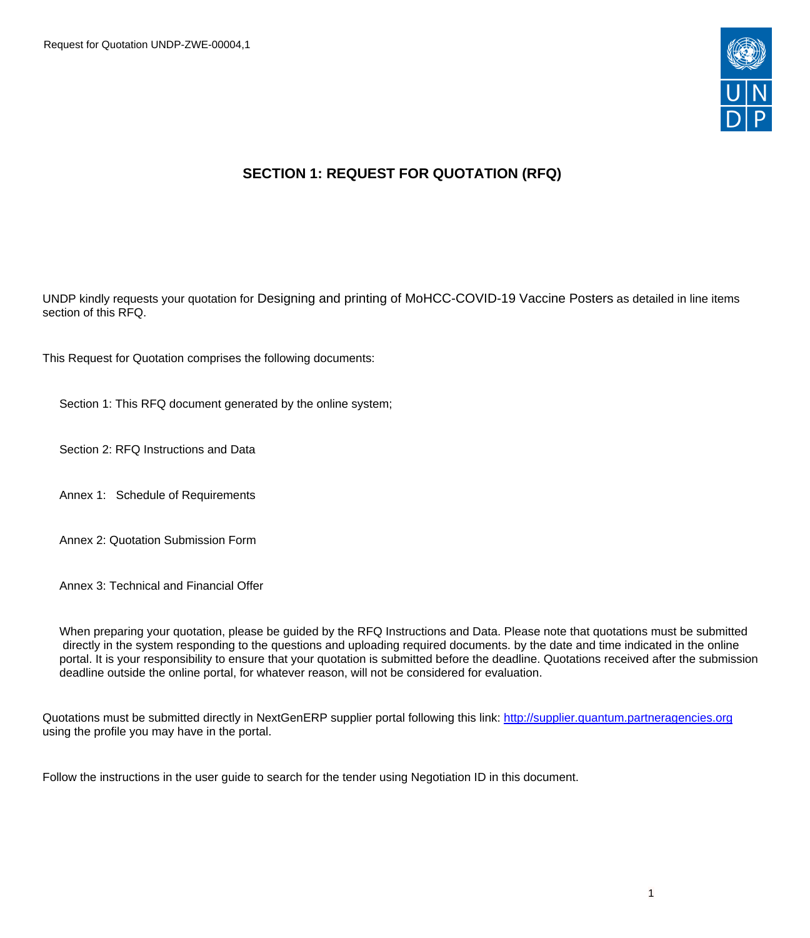

# **SECTION 1: REQUEST FOR QUOTATION (RFQ)**

UNDP kindly requests your quotation for Designing and printing of MoHCC-COVID-19 Vaccine Posters as detailed in line items section of this RFQ.

This Request for Quotation comprises the following documents:

Section 1: This RFQ document generated by the online system;

Section 2: RFQ Instructions and Data

Annex 1: Schedule of Requirements

Annex 2: Quotation Submission Form

Annex 3: Technical and Financial Offer

When preparing your quotation, please be guided by the RFQ Instructions and Data. Please note that quotations must be submitted directly in the system responding to the questions and uploading required documents. by the date and time indicated in the online portal. It is your responsibility to ensure that your quotation is submitted before the deadline. Quotations received after the submission deadline outside the online portal, for whatever reason, will not be considered for evaluation.

Quotations must be submitted directly in NextGenERP supplier portal following this link: <http://supplier.quantum.partneragencies.org> using the profile you may have in the portal.

Follow the instructions in the user guide to search for the tender using Negotiation ID in this document.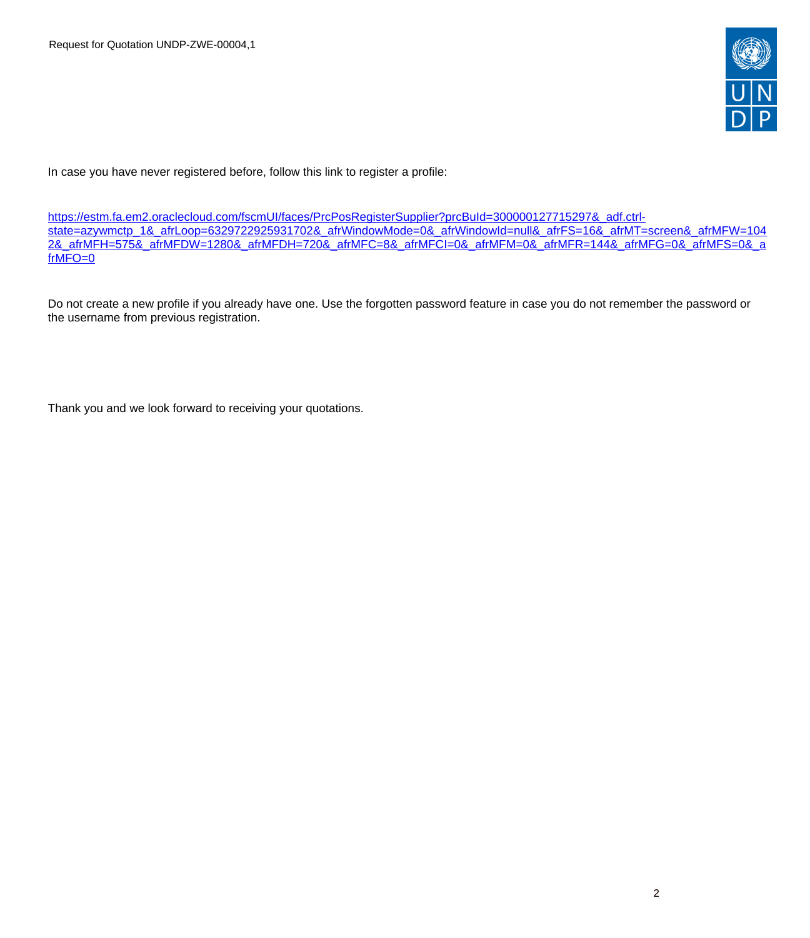

In case you have never registered before, follow this link to register a profile:

[https://estm.fa.em2.oraclecloud.com/fscmUI/faces/PrcPosRegisterSupplier?prcBuId=300000127715297&\\_adf.ctrl](https://estm.fa.em2.oraclecloud.com/fscmUI/faces/PrcPosRegisterSupplier?prcBuId=300000127715297&_adf.ctrl-state=azywmctp_1&_afrLoop=6329722925931702&_afrWindowMode=0&_afrWindowId=null&_afrFS=16&_afrMT=screen&_afrMFW=1042&_afrMFH=575&_afrMFDW=1280&_afrMFDH=720&_afrMFC=8&_afrMFCI=0&_afrMFM=0&_afrMFR=144&_afrMFG=0&_afrMFS=0&_afrMFO=0)[state=azywmctp\\_1&\\_afrLoop=6329722925931702&\\_afrWindowMode=0&\\_afrWindowId=null&\\_afrFS=16&\\_afrMT=screen&\\_afrMFW=104](https://estm.fa.em2.oraclecloud.com/fscmUI/faces/PrcPosRegisterSupplier?prcBuId=300000127715297&_adf.ctrl-state=azywmctp_1&_afrLoop=6329722925931702&_afrWindowMode=0&_afrWindowId=null&_afrFS=16&_afrMT=screen&_afrMFW=1042&_afrMFH=575&_afrMFDW=1280&_afrMFDH=720&_afrMFC=8&_afrMFCI=0&_afrMFM=0&_afrMFR=144&_afrMFG=0&_afrMFS=0&_afrMFO=0) [2&\\_afrMFH=575&\\_afrMFDW=1280&\\_afrMFDH=720&\\_afrMFC=8&\\_afrMFCI=0&\\_afrMFM=0&\\_afrMFR=144&\\_afrMFG=0&\\_afrMFS=0&\\_a](https://estm.fa.em2.oraclecloud.com/fscmUI/faces/PrcPosRegisterSupplier?prcBuId=300000127715297&_adf.ctrl-state=azywmctp_1&_afrLoop=6329722925931702&_afrWindowMode=0&_afrWindowId=null&_afrFS=16&_afrMT=screen&_afrMFW=1042&_afrMFH=575&_afrMFDW=1280&_afrMFDH=720&_afrMFC=8&_afrMFCI=0&_afrMFM=0&_afrMFR=144&_afrMFG=0&_afrMFS=0&_afrMFO=0) [frMFO=0](https://estm.fa.em2.oraclecloud.com/fscmUI/faces/PrcPosRegisterSupplier?prcBuId=300000127715297&_adf.ctrl-state=azywmctp_1&_afrLoop=6329722925931702&_afrWindowMode=0&_afrWindowId=null&_afrFS=16&_afrMT=screen&_afrMFW=1042&_afrMFH=575&_afrMFDW=1280&_afrMFDH=720&_afrMFC=8&_afrMFCI=0&_afrMFM=0&_afrMFR=144&_afrMFG=0&_afrMFS=0&_afrMFO=0)

Do not create a new profile if you already have one. Use the forgotten password feature in case you do not remember the password or the username from previous registration.

Thank you and we look forward to receiving your quotations.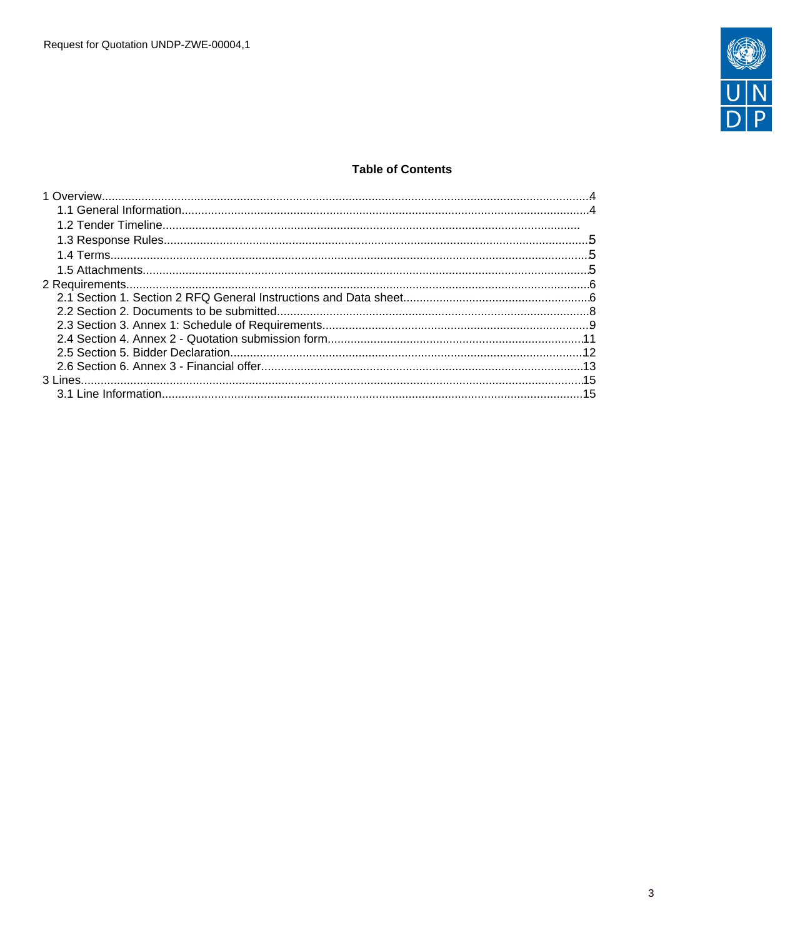

## **Table of Contents**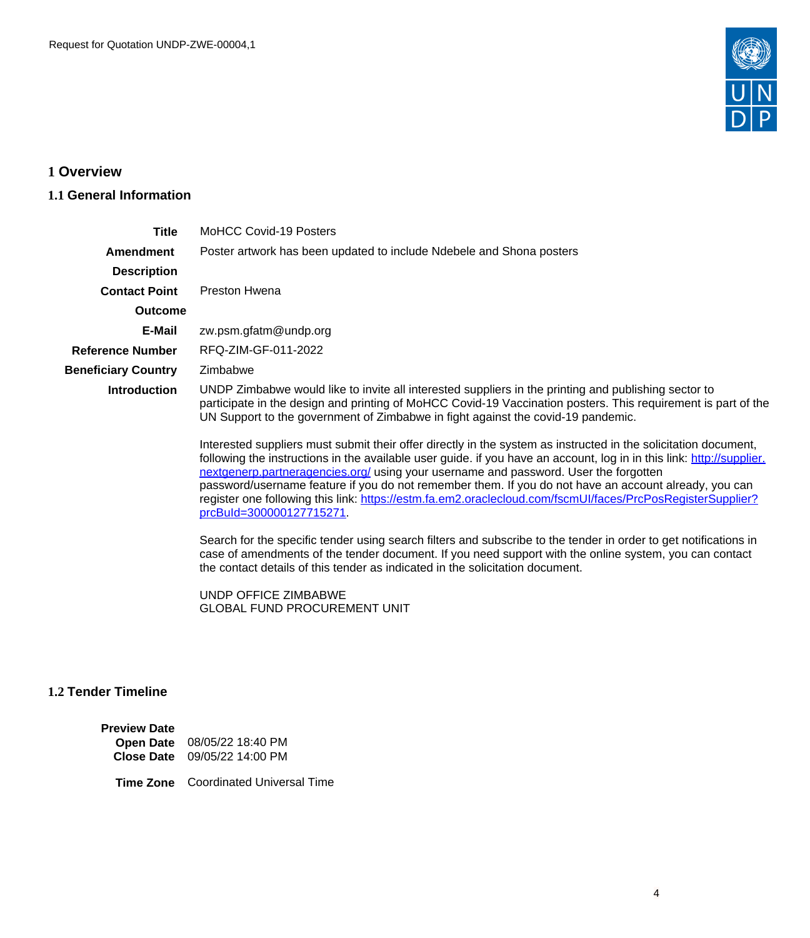

# <span id="page-3-0"></span>**1 Overview**

## <span id="page-3-1"></span>**1.1 General Information**

| <b>Title</b>               | <b>MoHCC Covid-19 Posters</b>                                                                                                                                                                                                                                                                                                                                                                                                                                                                                                                                                                                                                                                                                                                                                                                                                                                                                                                                                                                                                                                                                                                                                                                  |  |  |  |  |
|----------------------------|----------------------------------------------------------------------------------------------------------------------------------------------------------------------------------------------------------------------------------------------------------------------------------------------------------------------------------------------------------------------------------------------------------------------------------------------------------------------------------------------------------------------------------------------------------------------------------------------------------------------------------------------------------------------------------------------------------------------------------------------------------------------------------------------------------------------------------------------------------------------------------------------------------------------------------------------------------------------------------------------------------------------------------------------------------------------------------------------------------------------------------------------------------------------------------------------------------------|--|--|--|--|
| <b>Amendment</b>           | Poster artwork has been updated to include Ndebele and Shona posters                                                                                                                                                                                                                                                                                                                                                                                                                                                                                                                                                                                                                                                                                                                                                                                                                                                                                                                                                                                                                                                                                                                                           |  |  |  |  |
| <b>Description</b>         |                                                                                                                                                                                                                                                                                                                                                                                                                                                                                                                                                                                                                                                                                                                                                                                                                                                                                                                                                                                                                                                                                                                                                                                                                |  |  |  |  |
| <b>Contact Point</b>       | <b>Preston Hwena</b>                                                                                                                                                                                                                                                                                                                                                                                                                                                                                                                                                                                                                                                                                                                                                                                                                                                                                                                                                                                                                                                                                                                                                                                           |  |  |  |  |
| <b>Outcome</b>             |                                                                                                                                                                                                                                                                                                                                                                                                                                                                                                                                                                                                                                                                                                                                                                                                                                                                                                                                                                                                                                                                                                                                                                                                                |  |  |  |  |
| E-Mail                     | zw.psm.gfatm@undp.org                                                                                                                                                                                                                                                                                                                                                                                                                                                                                                                                                                                                                                                                                                                                                                                                                                                                                                                                                                                                                                                                                                                                                                                          |  |  |  |  |
| <b>Reference Number</b>    | RFQ-ZIM-GF-011-2022                                                                                                                                                                                                                                                                                                                                                                                                                                                                                                                                                                                                                                                                                                                                                                                                                                                                                                                                                                                                                                                                                                                                                                                            |  |  |  |  |
| <b>Beneficiary Country</b> | Zimbabwe                                                                                                                                                                                                                                                                                                                                                                                                                                                                                                                                                                                                                                                                                                                                                                                                                                                                                                                                                                                                                                                                                                                                                                                                       |  |  |  |  |
| <b>Introduction</b>        | UNDP Zimbabwe would like to invite all interested suppliers in the printing and publishing sector to<br>participate in the design and printing of MoHCC Covid-19 Vaccination posters. This requirement is part of the<br>UN Support to the government of Zimbabwe in fight against the covid-19 pandemic.<br>Interested suppliers must submit their offer directly in the system as instructed in the solicitation document,<br>following the instructions in the available user guide. if you have an account, log in in this link: http://supplier.<br>nextgenerp.partneragencies.org/ using your username and password. User the forgotten<br>password/username feature if you do not remember them. If you do not have an account already, you can<br>register one following this link: https://estm.fa.em2.oraclecloud.com/fscmUI/faces/PrcPosRegisterSupplier?<br>prcBuld=300000127715271<br>Search for the specific tender using search filters and subscribe to the tender in order to get notifications in<br>case of amendments of the tender document. If you need support with the online system, you can contact<br>the contact details of this tender as indicated in the solicitation document. |  |  |  |  |
|                            | UNDP OFFICE ZIMBABWE<br><b>GLOBAL FUND PROCUREMENT UNIT</b>                                                                                                                                                                                                                                                                                                                                                                                                                                                                                                                                                                                                                                                                                                                                                                                                                                                                                                                                                                                                                                                                                                                                                    |  |  |  |  |

# **1.2 Tender Timeline**

| <b>Preview Date</b> |                                                             |
|---------------------|-------------------------------------------------------------|
|                     | Open Date 08/05/22 18:40 PM<br>Close Date 09/05/22 14:00 PM |
|                     |                                                             |

**Time Zone** Coordinated Universal Time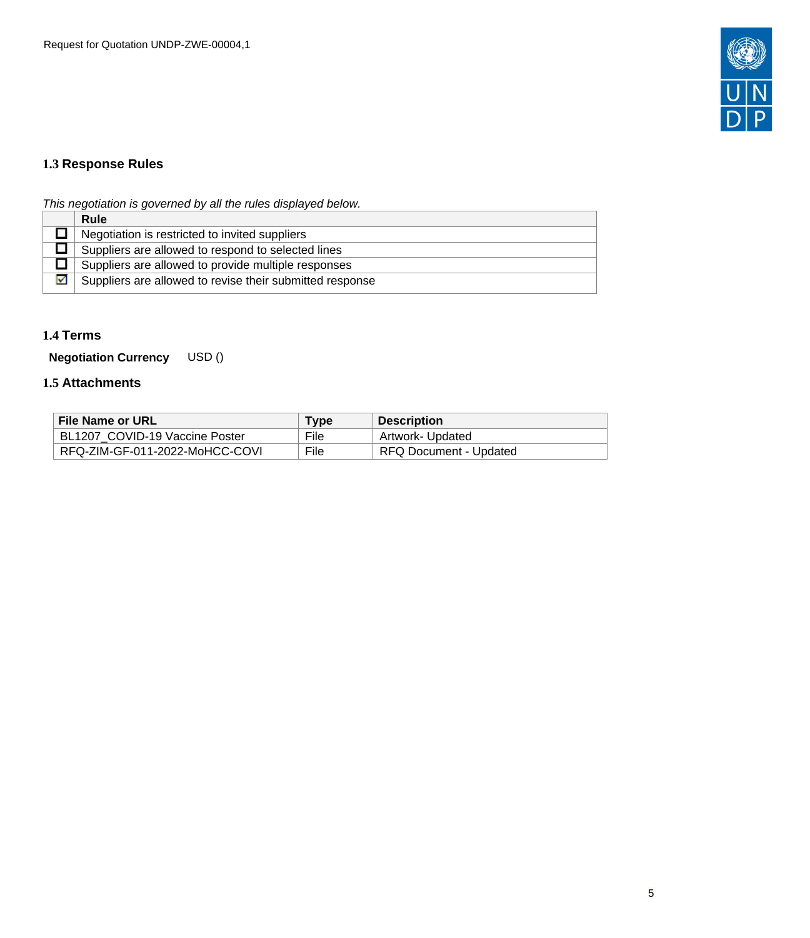

# <span id="page-4-0"></span>**1.3 Response Rules**

This negotiation is governed by all the rules displayed below.

|   | <b>Rule</b>                                              |
|---|----------------------------------------------------------|
|   | Negotiation is restricted to invited suppliers           |
|   | Suppliers are allowed to respond to selected lines       |
|   | Suppliers are allowed to provide multiple responses      |
| м | Suppliers are allowed to revise their submitted response |
|   |                                                          |

## <span id="page-4-1"></span>**1.4 Terms**

**Negotiation Currency** USD ()

## <span id="page-4-2"></span>**1.5 Attachments**

| File Name or URL               | Type | <b>Description</b>     |
|--------------------------------|------|------------------------|
| BL1207 COVID-19 Vaccine Poster | File | Artwork- Updated       |
| RFQ-ZIM-GF-011-2022-MoHCC-COVI | File | RFQ Document - Updated |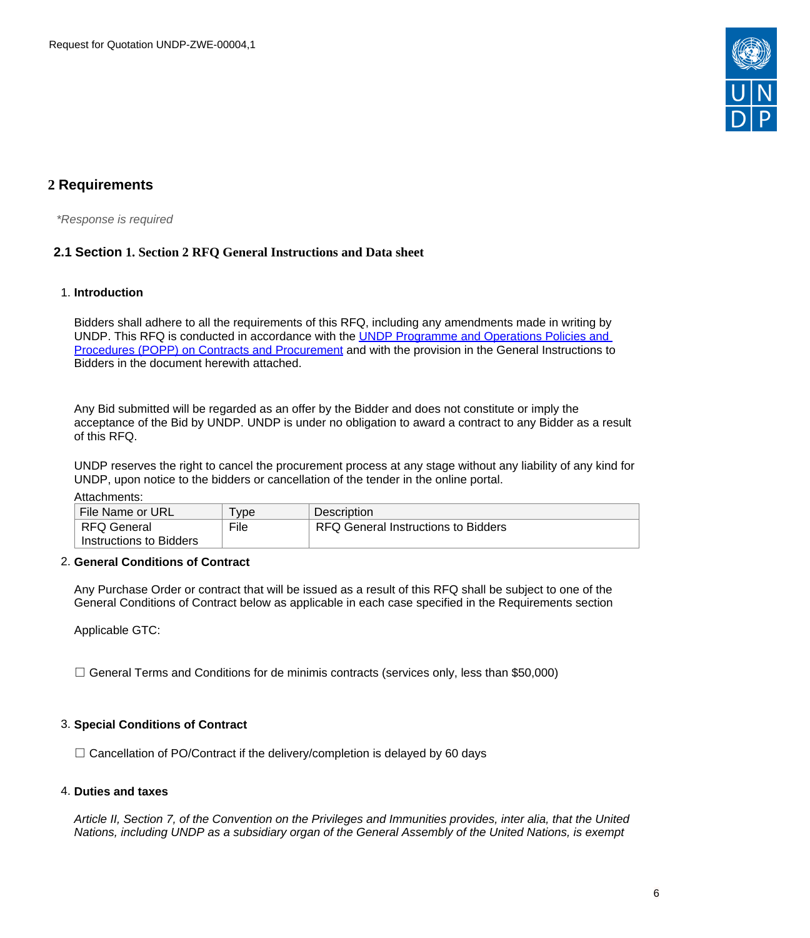

# <span id="page-5-0"></span>**2 Requirements**

\*Response is required

## <span id="page-5-1"></span>**2.1 Section 1. Section 2 RFQ General Instructions and Data sheet**

## 1. **Introduction**

Bidders shall adhere to all the requirements of this RFQ, including any amendments made in writing by UNDP. This RFQ is conducted in accordance with the [UNDP Programme and Operations Policies and](https://popp.undp.org/SitePages/POPPBSUnit.aspx?TermID=254a9f96-b883-476a-8ef8-e81f93a2b38d&Menu=BusinessUnit)  [Procedures \(POPP\) on Contracts and Procurement](https://popp.undp.org/SitePages/POPPBSUnit.aspx?TermID=254a9f96-b883-476a-8ef8-e81f93a2b38d&Menu=BusinessUnit) and with the provision in the General Instructions to Bidders in the document herewith attached.

Any Bid submitted will be regarded as an offer by the Bidder and does not constitute or imply the acceptance of the Bid by UNDP. UNDP is under no obligation to award a contract to any Bidder as a result of this RFQ.

UNDP reserves the right to cancel the procurement process at any stage without any liability of any kind for UNDP, upon notice to the bidders or cancellation of the tender in the online portal.

#### Attachments:

| File Name or URL        | l ype | <b>Description</b>                  |
|-------------------------|-------|-------------------------------------|
| ∣ RFQ General           | File  | RFQ General Instructions to Bidders |
| Instructions to Bidders |       |                                     |

#### 2. **General Conditions of Contract**

Any Purchase Order or contract that will be issued as a result of this RFQ shall be subject to one of the General Conditions of Contract below as applicable in each case specified in the Requirements section

Applicable GTC:

 $\Box$  General Terms and Conditions for de minimis contracts (services only, less than \$50,000)

#### 3. **Special Conditions of Contract**

 $\Box$  Cancellation of PO/Contract if the delivery/completion is delayed by 60 days

#### 4. **Duties and taxes**

Article II, Section 7, of the Convention on the Privileges and Immunities provides, inter alia, that the United Nations, including UNDP as a subsidiary organ of the General Assembly of the United Nations, is exempt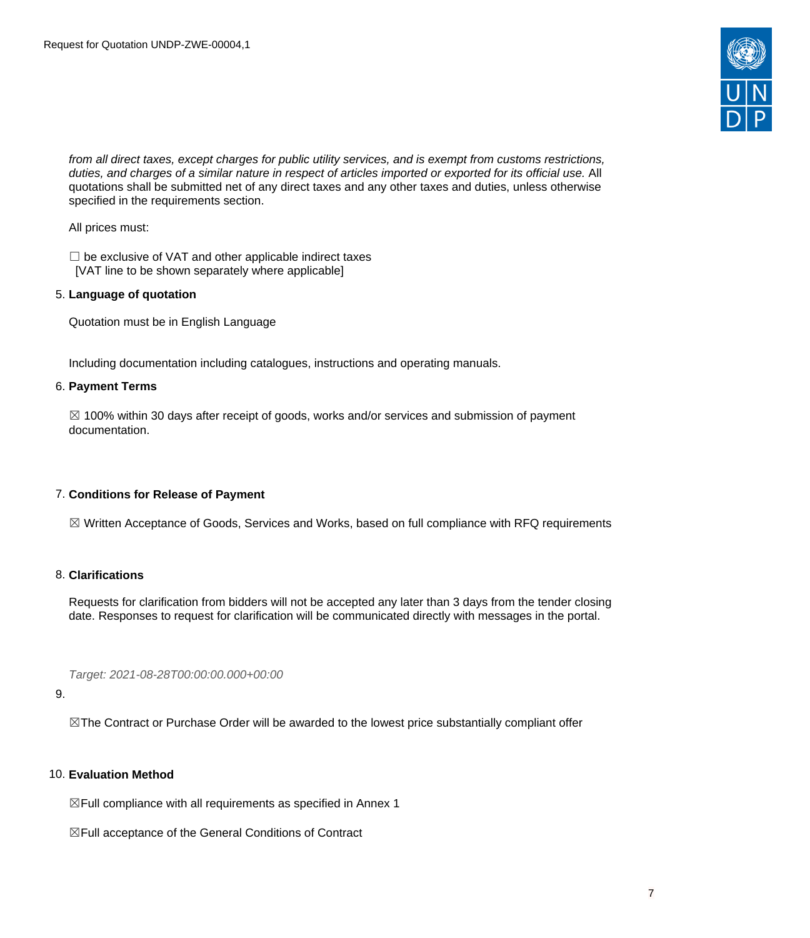

from all direct taxes, except charges for public utility services, and is exempt from customs restrictions, duties, and charges of a similar nature in respect of articles imported or exported for its official use. All quotations shall be submitted net of any direct taxes and any other taxes and duties, unless otherwise specified in the requirements section.

All prices must:

 $\Box$  be exclusive of VAT and other applicable indirect taxes [VAT line to be shown separately where applicable]

## 5. **Language of quotation**

Quotation must be in English Language

Including documentation including catalogues, instructions and operating manuals.

## 6. **Payment Terms**

 $\boxtimes$  100% within 30 days after receipt of goods, works and/or services and submission of payment documentation.

## 7. **Conditions for Release of Payment**

☒ Written Acceptance of Goods, Services and Works, based on full compliance with RFQ requirements

## 8. **Clarifications**

Requests for clarification from bidders will not be accepted any later than 3 days from the tender closing date. Responses to request for clarification will be communicated directly with messages in the portal.

Target: 2021-08-28T00:00:00.000+00:00

#### 9.

☒The Contract or Purchase Order will be awarded to the lowest price substantially compliant offer

## 10. **Evaluation Method**

 $\boxtimes$  Full compliance with all requirements as specified in Annex 1

☒Full acceptance of the General Conditions of Contract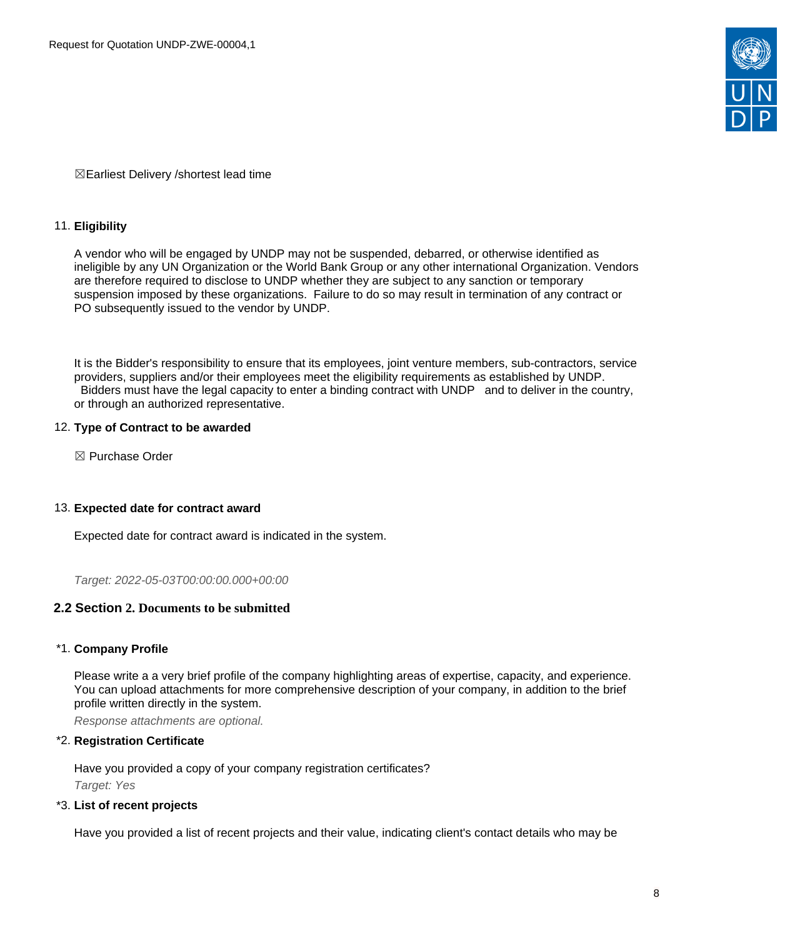

☒Earliest Delivery /shortest lead time

## 11. **Eligibility**

A vendor who will be engaged by UNDP may not be suspended, debarred, or otherwise identified as ineligible by any UN Organization or the World Bank Group or any other international Organization. Vendors are therefore required to disclose to UNDP whether they are subject to any sanction or temporary suspension imposed by these organizations. Failure to do so may result in termination of any contract or PO subsequently issued to the vendor by UNDP.

It is the Bidder's responsibility to ensure that its employees, joint venture members, sub-contractors, service providers, suppliers and/or their employees meet the eligibility requirements as established by UNDP. Bidders must have the legal capacity to enter a binding contract with UNDP and to deliver in the country, or through an authorized representative.

## 12. **Type of Contract to be awarded**

☒ Purchase Order

#### 13. **Expected date for contract award**

Expected date for contract award is indicated in the system.

Target: 2022-05-03T00:00:00.000+00:00

## <span id="page-7-0"></span>**2.2 Section 2. Documents to be submitted**

## \*1. **Company Profile**

Please write a a very brief profile of the company highlighting areas of expertise, capacity, and experience. You can upload attachments for more comprehensive description of your company, in addition to the brief profile written directly in the system.

Response attachments are optional*.*

## \*2. **Registration Certificate**

Have you provided a copy of your company registration certificates? Target: Yes

#### \*3. **List of recent projects**

Have you provided a list of recent projects and their value, indicating client's contact details who may be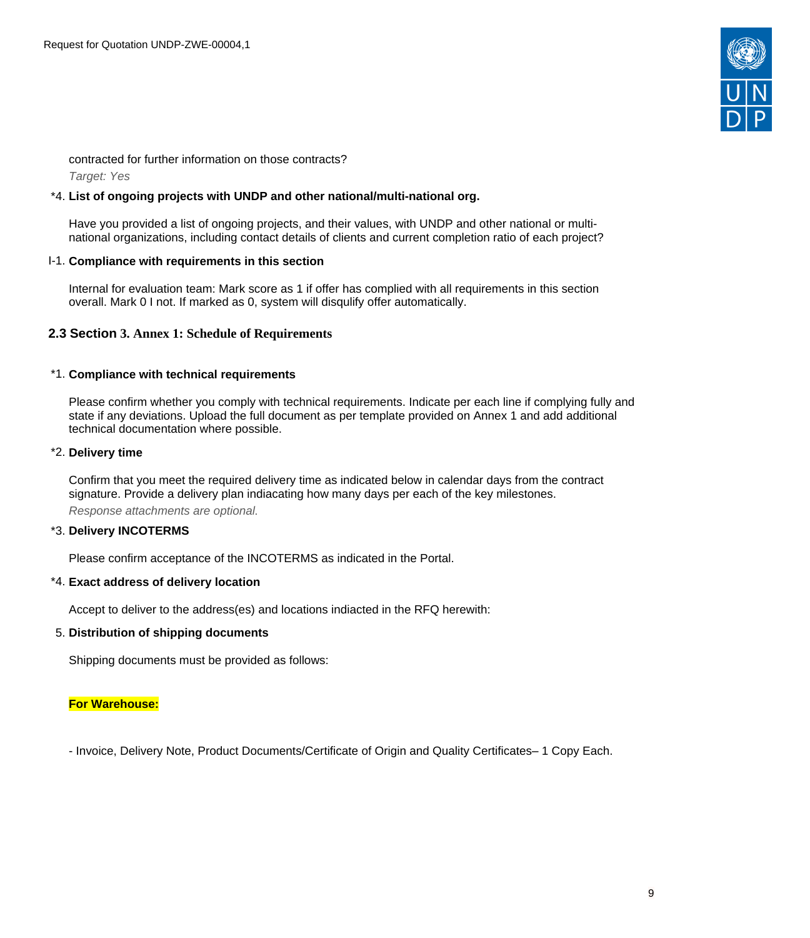

contracted for further information on those contracts? Target: Yes

## \*4. **List of ongoing projects with UNDP and other national/multi-national org.**

Have you provided a list of ongoing projects, and their values, with UNDP and other national or multinational organizations, including contact details of clients and current completion ratio of each project?

#### I-1. **Compliance with requirements in this section**

Internal for evaluation team: Mark score as 1 if offer has complied with all requirements in this section overall. Mark 0 I not. If marked as 0, system will disqulify offer automatically.

## <span id="page-8-0"></span>**2.3 Section 3. Annex 1: Schedule of Requirements**

#### \*1. **Compliance with technical requirements**

Please confirm whether you comply with technical requirements. Indicate per each line if complying fully and state if any deviations. Upload the full document as per template provided on Annex 1 and add additional technical documentation where possible.

#### \*2. **Delivery time**

Confirm that you meet the required delivery time as indicated below in calendar days from the contract signature. Provide a delivery plan indiacating how many days per each of the key milestones. Response attachments are optional*.*

#### \*3. **Delivery INCOTERMS**

Please confirm acceptance of the INCOTERMS as indicated in the Portal.

#### \*4. **Exact address of delivery location**

Accept to deliver to the address(es) and locations indiacted in the RFQ herewith:

#### 5. **Distribution of shipping documents**

Shipping documents must be provided as follows:

#### **For Warehouse:**

- Invoice, Delivery Note, Product Documents/Certificate of Origin and Quality Certificates– 1 Copy Each.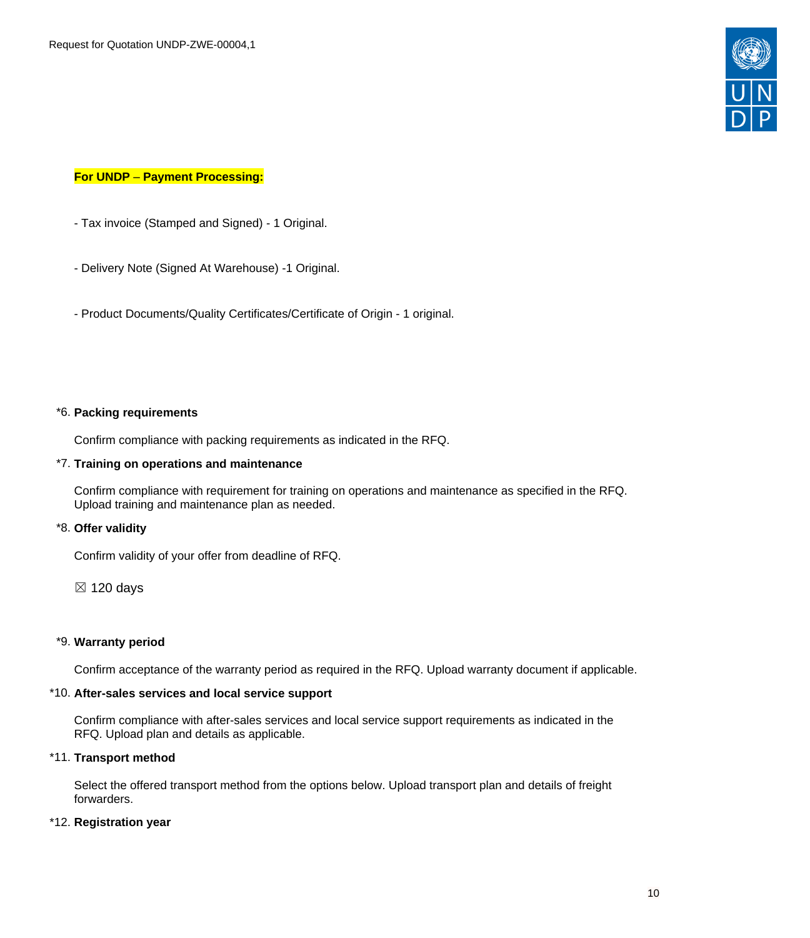

## **For UNDP** – **Payment Processing:**

- Tax invoice (Stamped and Signed) 1 Original.
- Delivery Note (Signed At Warehouse) -1 Original.
- Product Documents/Quality Certificates/Certificate of Origin 1 original.

#### \*6. **Packing requirements**

Confirm compliance with packing requirements as indicated in the RFQ.

## \*7. **Training on operations and maintenance**

Confirm compliance with requirement for training on operations and maintenance as specified in the RFQ. Upload training and maintenance plan as needed.

#### \*8. **Offer validity**

Confirm validity of your offer from deadline of RFQ.

 $\boxtimes$  120 days

## \*9. **Warranty period**

Confirm acceptance of the warranty period as required in the RFQ. Upload warranty document if applicable.

## \*10. **After-sales services and local service support**

Confirm compliance with after-sales services and local service support requirements as indicated in the RFQ. Upload plan and details as applicable.

#### \*11. **Transport method**

Select the offered transport method from the options below. Upload transport plan and details of freight forwarders.

#### \*12. **Registration year**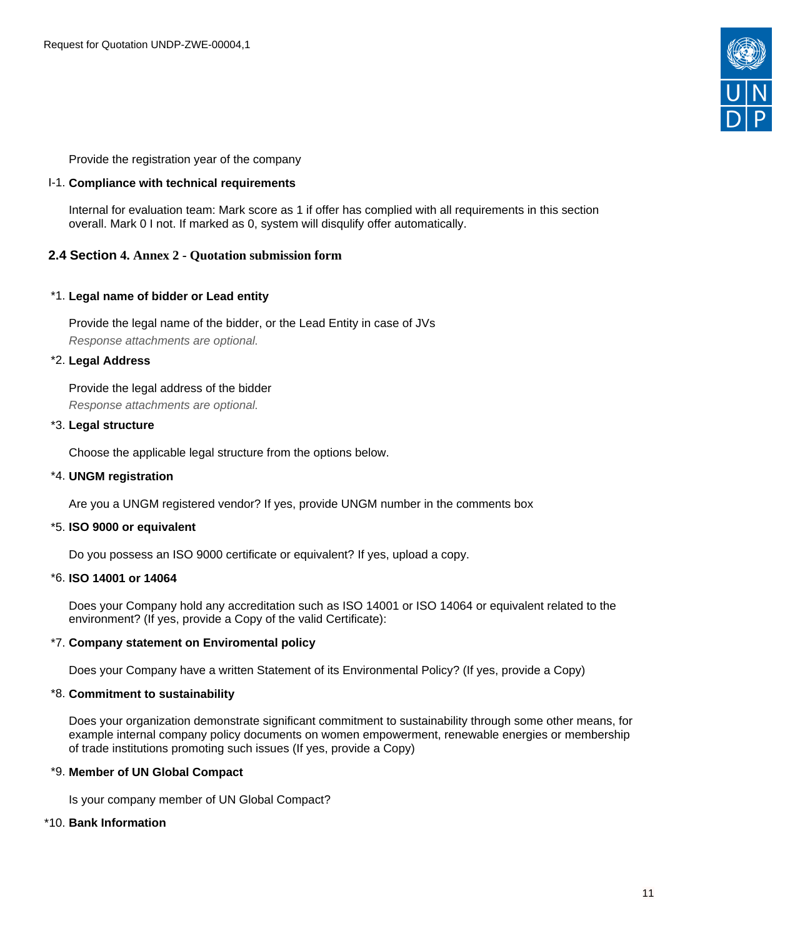

Provide the registration year of the company

## I-1. **Compliance with technical requirements**

Internal for evaluation team: Mark score as 1 if offer has complied with all requirements in this section overall. Mark 0 I not. If marked as 0, system will disqulify offer automatically.

## <span id="page-10-0"></span>**2.4 Section 4. Annex 2 - Quotation submission form**

## \*1. **Legal name of bidder or Lead entity**

Provide the legal name of the bidder, or the Lead Entity in case of JVs Response attachments are optional*.*

## \*2. **Legal Address**

Provide the legal address of the bidder Response attachments are optional*.*

## \*3. **Legal structure**

Choose the applicable legal structure from the options below.

## \*4. **UNGM registration**

Are you a UNGM registered vendor? If yes, provide UNGM number in the comments box

#### \*5. **ISO 9000 or equivalent**

Do you possess an ISO 9000 certificate or equivalent? If yes, upload a copy.

#### \*6. **ISO 14001 or 14064**

Does your Company hold any accreditation such as ISO 14001 or ISO 14064 or equivalent related to the environment? (If yes, provide a Copy of the valid Certificate):

## \*7. **Company statement on Enviromental policy**

Does your Company have a written Statement of its Environmental Policy? (If yes, provide a Copy)

#### \*8. **Commitment to sustainability**

Does your organization demonstrate significant commitment to sustainability through some other means, for example internal company policy documents on women empowerment, renewable energies or membership of trade institutions promoting such issues (If yes, provide a Copy)

#### \*9. **Member of UN Global Compact**

Is your company member of UN Global Compact?

#### \*10. **Bank Information**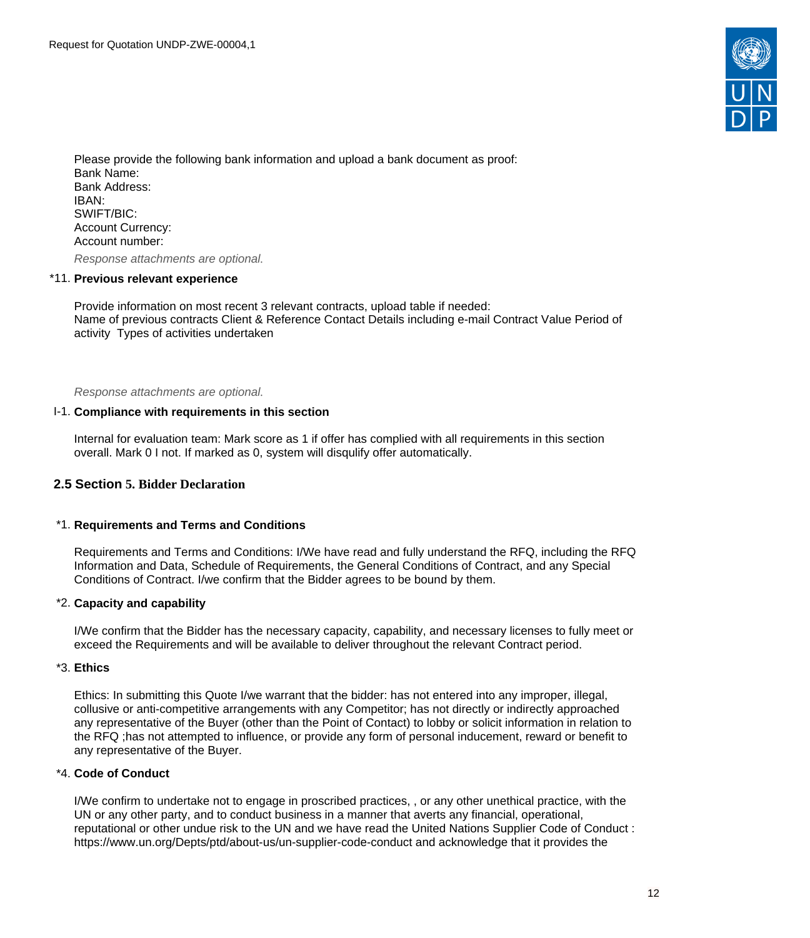

Please provide the following bank information and upload a bank document as proof: Bank Name: Bank Address: IBAN: SWIFT/BIC: Account Currency: Account number:

Response attachments are optional*.*

#### \*11. **Previous relevant experience**

Provide information on most recent 3 relevant contracts, upload table if needed: Name of previous contracts Client & Reference Contact Details including e-mail Contract Value Period of activity Types of activities undertaken

Response attachments are optional*.*

#### I-1. **Compliance with requirements in this section**

Internal for evaluation team: Mark score as 1 if offer has complied with all requirements in this section overall. Mark 0 I not. If marked as 0, system will disqulify offer automatically.

## <span id="page-11-0"></span>**2.5 Section 5. Bidder Declaration**

#### \*1. **Requirements and Terms and Conditions**

Requirements and Terms and Conditions: I/We have read and fully understand the RFQ, including the RFQ Information and Data, Schedule of Requirements, the General Conditions of Contract, and any Special Conditions of Contract. I/we confirm that the Bidder agrees to be bound by them.

#### \*2. **Capacity and capability**

I/We confirm that the Bidder has the necessary capacity, capability, and necessary licenses to fully meet or exceed the Requirements and will be available to deliver throughout the relevant Contract period.

## \*3. **Ethics**

Ethics: In submitting this Quote I/we warrant that the bidder: has not entered into any improper, illegal, collusive or anti-competitive arrangements with any Competitor; has not directly or indirectly approached any representative of the Buyer (other than the Point of Contact) to lobby or solicit information in relation to the RFQ ;has not attempted to influence, or provide any form of personal inducement, reward or benefit to any representative of the Buyer.

#### \*4. **Code of Conduct**

I/We confirm to undertake not to engage in proscribed practices, , or any other unethical practice, with the UN or any other party, and to conduct business in a manner that averts any financial, operational, reputational or other undue risk to the UN and we have read the United Nations Supplier Code of Conduct : https://www.un.org/Depts/ptd/about-us/un-supplier-code-conduct and acknowledge that it provides the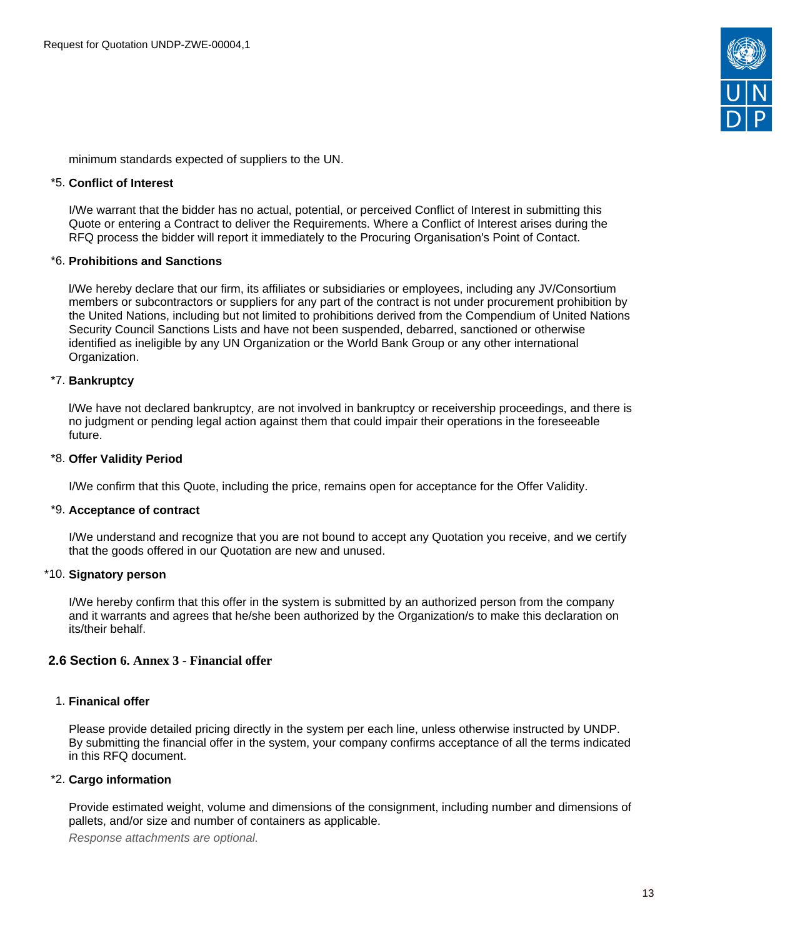

minimum standards expected of suppliers to the UN.

## \*5. **Conflict of Interest**

I/We warrant that the bidder has no actual, potential, or perceived Conflict of Interest in submitting this Quote or entering a Contract to deliver the Requirements. Where a Conflict of Interest arises during the RFQ process the bidder will report it immediately to the Procuring Organisation's Point of Contact.

## \*6. **Prohibitions and Sanctions**

l/We hereby declare that our firm, its affiliates or subsidiaries or employees, including any JV/Consortium members or subcontractors or suppliers for any part of the contract is not under procurement prohibition by the United Nations, including but not limited to prohibitions derived from the Compendium of United Nations Security Council Sanctions Lists and have not been suspended, debarred, sanctioned or otherwise identified as ineligible by any UN Organization or the World Bank Group or any other international Organization.

## \*7. **Bankruptcy**

l/We have not declared bankruptcy, are not involved in bankruptcy or receivership proceedings, and there is no judgment or pending legal action against them that could impair their operations in the foreseeable future.

#### \*8. **Offer Validity Period**

I/We confirm that this Quote, including the price, remains open for acceptance for the Offer Validity.

#### \*9. **Acceptance of contract**

I/We understand and recognize that you are not bound to accept any Quotation you receive, and we certify that the goods offered in our Quotation are new and unused.

#### \*10. **Signatory person**

I/We hereby confirm that this offer in the system is submitted by an authorized person from the company and it warrants and agrees that he/she been authorized by the Organization/s to make this declaration on its/their behalf.

## <span id="page-12-0"></span>**2.6 Section 6. Annex 3 - Financial offer**

## 1. **Finanical offer**

Please provide detailed pricing directly in the system per each line, unless otherwise instructed by UNDP. By submitting the financial offer in the system, your company confirms acceptance of all the terms indicated in this RFQ document.

#### \*2. **Cargo information**

Provide estimated weight, volume and dimensions of the consignment, including number and dimensions of pallets, and/or size and number of containers as applicable.

Response attachments are optional*.*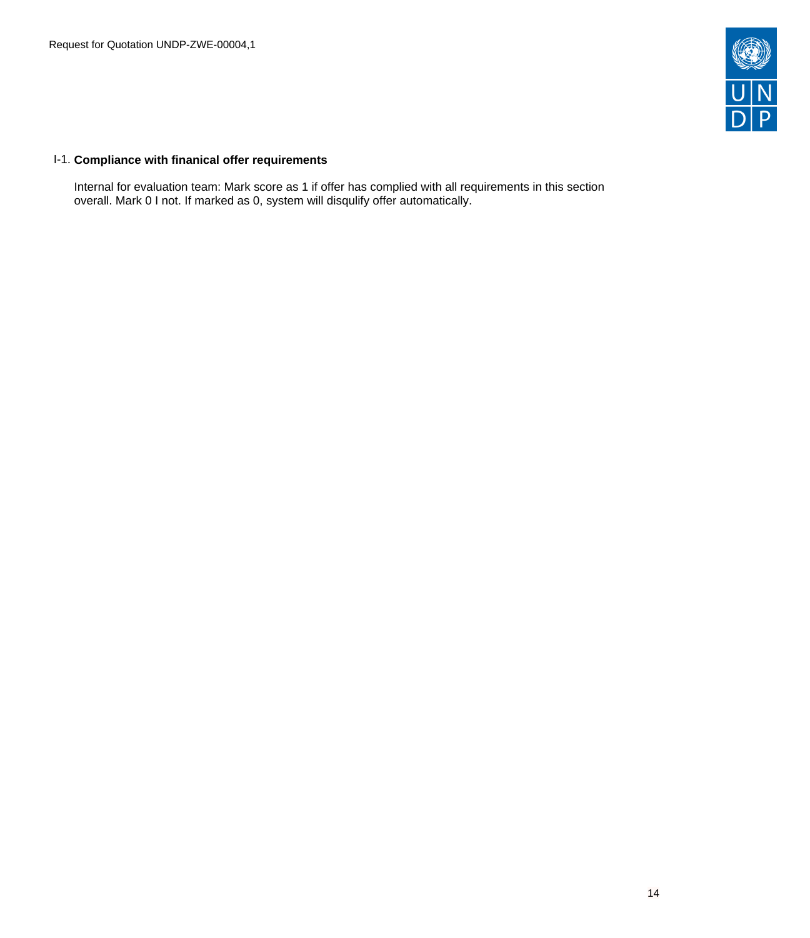

## I-1. **Compliance with finanical offer requirements**

Internal for evaluation team: Mark score as 1 if offer has complied with all requirements in this section overall. Mark 0 I not. If marked as 0, system will disqulify offer automatically.